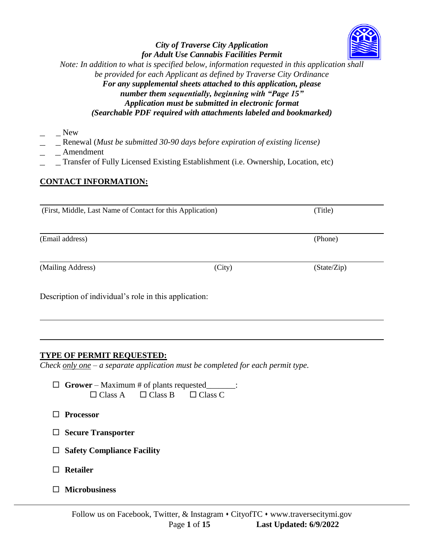## *City of Traverse City Application for Adult Use Cannabis Facilities Permit Note: In addition to what is specified below, information requested in this application shall be provided for each Applicant as defined by Traverse City Ordinance For any supplemental sheets attached to this application, please number them sequentially, beginning with "Page 15" Application must be submitted in electronic format*

*(Searchable PDF required with attachments labeled and bookmarked)*

- *\_\_\_\_\_* New
- \_\_\_\_\_ Renewal (*Must be submitted 30-90 days before expiration of existing license)*
- *\_\_\_\_\_* Amendment
- \_\_\_\_\_ Transfer of Fully Licensed Existing Establishment (i.e. Ownership, Location, etc)

## **CONTACT INFORMATION:**

(First, Middle, Last Name of Contact for this Application) (Title)

(Email address) (Phone)

(Mailing Address) (City) (State/Zip)

Description of individual's role in this application:

## **TYPE OF PERMIT REQUESTED:**

*Check only one – a separate application must be completed for each permit type.*

- **Grower**  Maximum # of plants requested\_\_\_\_\_\_\_:  $\Box$  Class A  $\Box$  Class B  $\Box$  Class C
- **Processor**
- **Secure Transporter**
- **Safety Compliance Facility**
- **Retailer**
- **Microbusiness**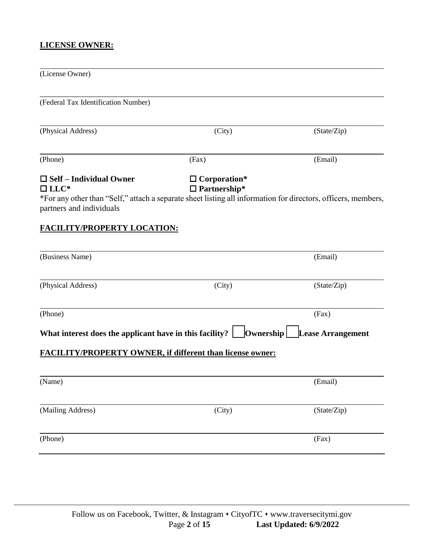# **LICENSE OWNER:**

| (License Owner)                                                                                                                                                                            |                                            |                          |
|--------------------------------------------------------------------------------------------------------------------------------------------------------------------------------------------|--------------------------------------------|--------------------------|
| (Federal Tax Identification Number)                                                                                                                                                        |                                            |                          |
| (Physical Address)                                                                                                                                                                         | (City)                                     | (State/Zip)              |
| (Phone)                                                                                                                                                                                    | (Fax)                                      | (Email)                  |
| $\Box$ Self – Individual Owner<br>$\Box$ LLC*<br>*For any other than "Self," attach a separate sheet listing all information for directors, officers, members,<br>partners and individuals | $\Box$ Corporation*<br>$\Box$ Partnership* |                          |
| <b>FACILITY/PROPERTY LOCATION:</b>                                                                                                                                                         |                                            |                          |
| (Business Name)                                                                                                                                                                            |                                            | (Email)                  |
| (Physical Address)                                                                                                                                                                         | (City)                                     | (State/Zip)              |
| (Phone)                                                                                                                                                                                    |                                            | (Fax)                    |
| What interest does the applicant have in this facility? $\Box$ Ownership $\Box$                                                                                                            |                                            | <b>Lease Arrangement</b> |
| <b>FACILITY/PROPERTY OWNER, if different than license owner:</b>                                                                                                                           |                                            |                          |
| (Name)                                                                                                                                                                                     |                                            | (Email)                  |
| (Mailing Address)                                                                                                                                                                          | (City)                                     | (State/Zip)              |
| (Phone)                                                                                                                                                                                    |                                            | (Fax)                    |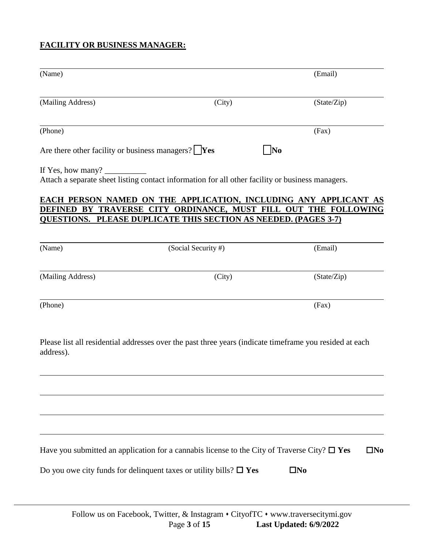# **FACILITY OR BUSINESS MANAGER:**

| (Name)                                 |                                                                                                                                                                                                                                             | (Email)                      |
|----------------------------------------|---------------------------------------------------------------------------------------------------------------------------------------------------------------------------------------------------------------------------------------------|------------------------------|
| (Mailing Address)                      | (City)                                                                                                                                                                                                                                      | (State/Zip)                  |
| (Phone)                                |                                                                                                                                                                                                                                             | (Fax)                        |
|                                        | Are there other facility or business managers? $\mathbf{Yes}$                                                                                                                                                                               | $\overline{\text{No}}$       |
| If Yes, how many? $\frac{1}{\sqrt{2}}$ | Attach a separate sheet listing contact information for all other facility or business managers.                                                                                                                                            |                              |
|                                        | EACH PERSON NAMED ON THE APPLICATION, INCLUDING ANY APPLICANT AS<br>DEFINED BY TRAVERSE CITY ORDINANCE, MUST FILL OUT THE FOLLOWING<br><u>QUESTIONS. PLEASE DUPLICATE THIS SECTION AS NEEDED. (PAGES 3-7)</u>                               |                              |
| (Name)                                 | (Social Security #)                                                                                                                                                                                                                         | (Email)                      |
| (Mailing Address)                      | (City)                                                                                                                                                                                                                                      | (State/Zip)                  |
| (Phone)                                |                                                                                                                                                                                                                                             | (Fax)                        |
| address).                              | Please list all residential addresses over the past three years (indicate timeframe you resided at each<br><u> 1989 - Johann Stoff, amerikansk politiker (* 1908)</u>                                                                       |                              |
|                                        | <u> 1989 - Johann Stoff, amerikansk politiker (d. 1989)</u><br>Have you submitted an application for a cannabis license to the City of Traverse City? $\Box$ Yes<br>Do you owe city funds for delinquent taxes or utility bills? $\Box$ Yes | $\square$ No<br>$\square$ No |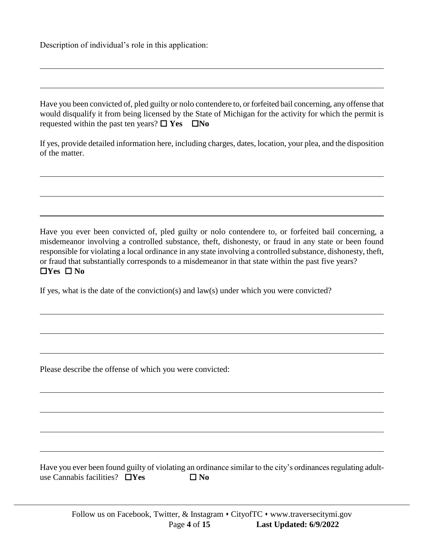Description of individual's role in this application:

Have you been convicted of, pled guilty or nolo contendere to, or forfeited bail concerning, any offense that would disqualify it from being licensed by the State of Michigan for the activity for which the permit is requested within the past ten years?  $\Box$  Yes  $\Box$  No

If yes, provide detailed information here, including charges, dates, location, your plea, and the disposition of the matter.

Have you ever been convicted of, pled guilty or nolo contendere to, or forfeited bail concerning, a misdemeanor involving a controlled substance, theft, dishonesty, or fraud in any state or been found responsible for violating a local ordinance in any state involving a controlled substance, dishonesty, theft, or fraud that substantially corresponds to a misdemeanor in that state within the past five years?  $\Box$ Yes  $\Box$  No

If yes, what is the date of the conviction(s) and law(s) under which you were convicted?

Please describe the offense of which you were convicted:

Have you ever been found guilty of violating an ordinance similar to the city's ordinances regulating adultuse Cannabis facilities?  $\Box$  Yes  $\Box$  No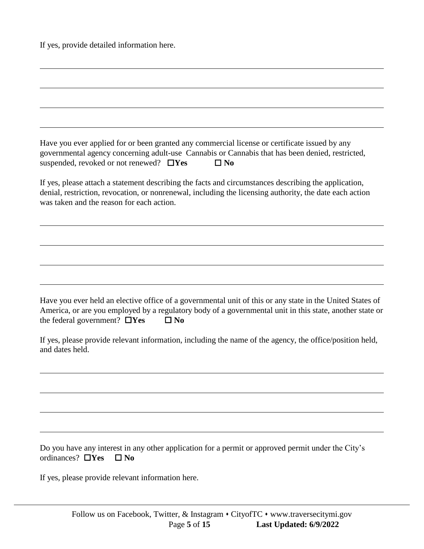If yes, provide detailed information here.

|                                               | Have you ever applied for or been granted any commercial license or certificate issued by any   |
|-----------------------------------------------|-------------------------------------------------------------------------------------------------|
|                                               | governmental agency concerning adult-use Cannabis or Cannabis that has been denied, restricted, |
| suspended, revoked or not renewed? $\Box$ Yes | $\Box$ No                                                                                       |

If yes, please attach a statement describing the facts and circumstances describing the application, denial, restriction, revocation, or nonrenewal, including the licensing authority, the date each action was taken and the reason for each action.

Have you ever held an elective office of a governmental unit of this or any state in the United States of America, or are you employed by a regulatory body of a governmental unit in this state, another state or the federal government?  $\Box$ **Yes**  $\Box$ **No** 

If yes, please provide relevant information, including the name of the agency, the office/position held, and dates held.

Do you have any interest in any other application for a permit or approved permit under the City's ordinances? **No**  $\blacksquare$  **No** 

If yes, please provide relevant information here.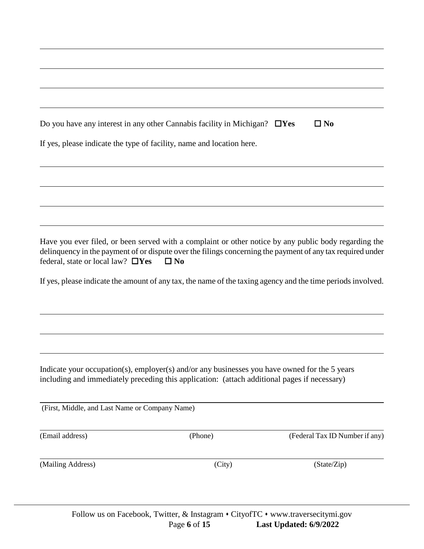|                                                | Do you have any interest in any other Cannabis facility in Michigan? $\Box$ Yes                                                                                                               | $\square$ No                                                                                                                                                                                                        |
|------------------------------------------------|-----------------------------------------------------------------------------------------------------------------------------------------------------------------------------------------------|---------------------------------------------------------------------------------------------------------------------------------------------------------------------------------------------------------------------|
|                                                | If yes, please indicate the type of facility, name and location here.                                                                                                                         |                                                                                                                                                                                                                     |
|                                                |                                                                                                                                                                                               |                                                                                                                                                                                                                     |
|                                                |                                                                                                                                                                                               |                                                                                                                                                                                                                     |
| federal, state or local law? $\Box$ Yes        | $\square$ No                                                                                                                                                                                  | Have you ever filed, or been served with a complaint or other notice by any public body regarding the<br>delinquency in the payment of or dispute over the filings concerning the payment of any tax required under |
|                                                |                                                                                                                                                                                               | If yes, please indicate the amount of any tax, the name of the taxing agency and the time periods involved.                                                                                                         |
|                                                |                                                                                                                                                                                               |                                                                                                                                                                                                                     |
|                                                |                                                                                                                                                                                               |                                                                                                                                                                                                                     |
|                                                | Indicate your occupation(s), employer(s) and/or any businesses you have owned for the 5 years<br>including and immediately preceding this application: (attach additional pages if necessary) |                                                                                                                                                                                                                     |
| (First, Middle, and Last Name or Company Name) |                                                                                                                                                                                               |                                                                                                                                                                                                                     |
| (Email address)                                | (Phone)                                                                                                                                                                                       | (Federal Tax ID Number if any)                                                                                                                                                                                      |
| (Mailing Address)                              | (City)                                                                                                                                                                                        | (State/Zip)                                                                                                                                                                                                         |
|                                                |                                                                                                                                                                                               |                                                                                                                                                                                                                     |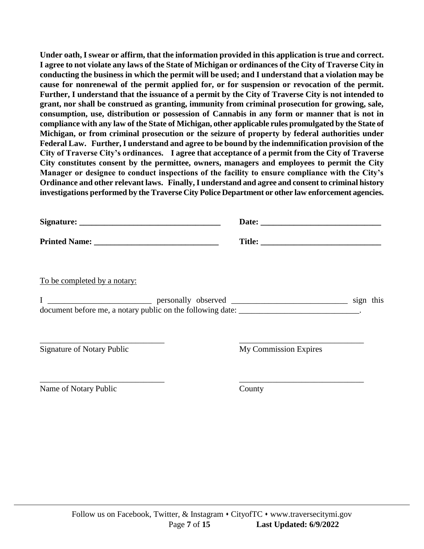**Under oath, I swear or affirm, that the information provided in this application is true and correct. I agree to not violate any laws of the State of Michigan or ordinances of the City of Traverse City in conducting the business in which the permit will be used; and I understand that a violation may be cause for nonrenewal of the permit applied for, or for suspension or revocation of the permit. Further, I understand that the issuance of a permit by the City of Traverse City is not intended to grant, nor shall be construed as granting, immunity from criminal prosecution for growing, sale, consumption, use, distribution or possession of Cannabis in any form or manner that is not in compliance with any law of the State of Michigan, other applicable rules promulgated by the State of Michigan, or from criminal prosecution or the seizure of property by federal authorities under Federal Law. Further, I understand and agree to be bound by the indemnification provision of the City of Traverse City's ordinances. I agree that acceptance of a permit from the City of Traverse City constitutes consent by the permittee, owners, managers and employees to permit the City Manager or designee to conduct inspections of the facility to ensure compliance with the City's Ordinance and other relevant laws. Finally, I understand and agree and consent to criminal history investigations performed by the Traverse City Police Department or other law enforcement agencies.** 

|                                                                                          | Date:                        |  |
|------------------------------------------------------------------------------------------|------------------------------|--|
|                                                                                          |                              |  |
| To be completed by a notary:                                                             |                              |  |
| document before me, a notary public on the following date: ____________________________. |                              |  |
| <b>Signature of Notary Public</b>                                                        | <b>My Commission Expires</b> |  |
| Name of Notary Public                                                                    | County                       |  |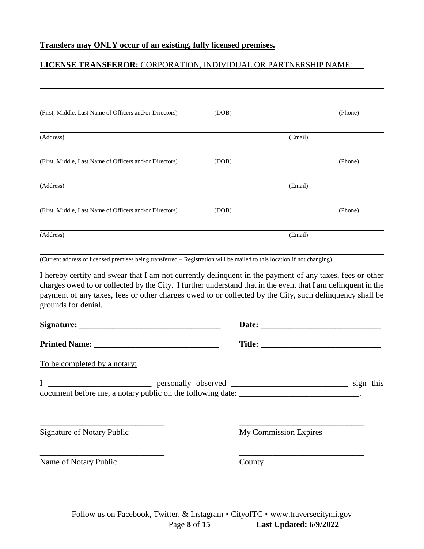## **LICENSE TRANSFEROR:** CORPORATION, INDIVIDUAL OR PARTNERSHIP NAME:

| (First, Middle, Last Name of Officers and/or Directors) | (DOB) |         | (Phone) |
|---------------------------------------------------------|-------|---------|---------|
| (Address)                                               |       | (Email) |         |
| (First, Middle, Last Name of Officers and/or Directors) | (DOB) |         | (Phone) |
| (Address)                                               |       | (Email) |         |
| (First, Middle, Last Name of Officers and/or Directors) | (DOB) |         | (Phone) |
| (Address)                                               |       | (Email) |         |

(Current address of licensed premises being transferred – Registration will be mailed to this location if not changing)

I hereby certify and swear that I am not currently delinquent in the payment of any taxes, fees or other charges owed to or collected by the City. I further understand that in the event that I am delinquent in the payment of any taxes, fees or other charges owed to or collected by the City, such delinquency shall be grounds for denial.

|                                                                                          | Title:                       |           |  |
|------------------------------------------------------------------------------------------|------------------------------|-----------|--|
| To be completed by a notary:                                                             |                              |           |  |
| document before me, a notary public on the following date: ____________________________. |                              | sign this |  |
| <b>Signature of Notary Public</b>                                                        | <b>My Commission Expires</b> |           |  |
| Name of Notary Public                                                                    | County                       |           |  |
|                                                                                          |                              |           |  |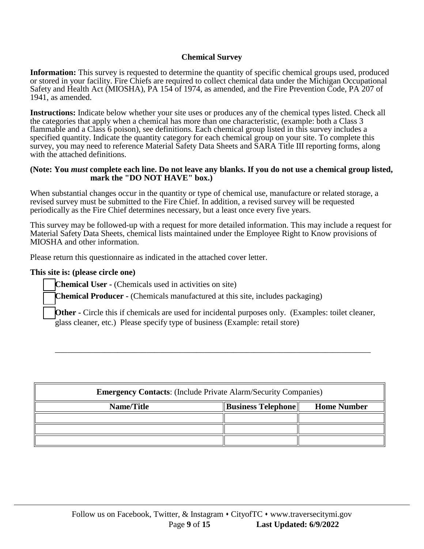## **Chemical Survey**

**Information:** This survey is requested to determine the quantity of specific chemical groups used, produced or stored in your facility. Fire Chiefs are required to collect chemical data under the Michigan Occupational Safety and Health Act (MIOSHA), PA 154 of 1974, as amended, and the Fire Prevention Code, PA 207 of 1941, as amended.

**Instructions:** Indicate below whether your site uses or produces any of the chemical types listed. Check all the categories that apply when a chemical has more than one characteristic, (example: both a Class 3 flammable and a Class 6 poison), see definitions. Each chemical group listed in this survey includes a specified quantity. Indicate the quantity category for each chemical group on your site. To complete this survey, you may need to reference Material Safety Data Sheets and SARA Title III reporting forms, along with the attached definitions.

#### **(Note: You** *must* **complete each line. Do not leave any blanks. If you do not use a chemical group listed, mark the "DO NOT HAVE" box.)**

When substantial changes occur in the quantity or type of chemical use, manufacture or related storage, a revised survey must be submitted to the Fire Chief. In addition, a revised survey will be requested periodically as the Fire Chief determines necessary, but a least once every five years.

This survey may be followed-up with a request for more detailed information. This may include a request for Material Safety Data Sheets, chemical lists maintained under the Employee Right to Know provisions of MIOSHA and other information.

Please return this questionnaire as indicated in the attached cover letter.

### **This site is: (please circle one)**

**Chemical User -** (Chemicals used in activities on site)

**Chemical Producer -** (Chemicals manufactured at this site, includes packaging)

**Other -** Circle this if chemicals are used for incidental purposes only. (Examples: toilet cleaner, glass cleaner, etc.) Please specify type of business (Example: retail store)

\_\_\_\_\_\_\_\_\_\_\_\_\_\_\_\_\_\_\_\_\_\_\_\_\_\_\_\_\_\_\_\_\_\_\_\_\_\_\_\_\_\_\_\_\_\_\_\_\_\_\_\_\_\_\_\_\_\_\_\_\_\_\_\_\_\_\_\_\_\_\_\_\_\_\_\_

| <b>Emergency Contacts:</b> (Include Private Alarm/Security Companies) |                           |                    |  |
|-----------------------------------------------------------------------|---------------------------|--------------------|--|
| Name/Title                                                            | <b>Business Telephone</b> | <b>Home Number</b> |  |
|                                                                       |                           |                    |  |
|                                                                       |                           |                    |  |
|                                                                       |                           |                    |  |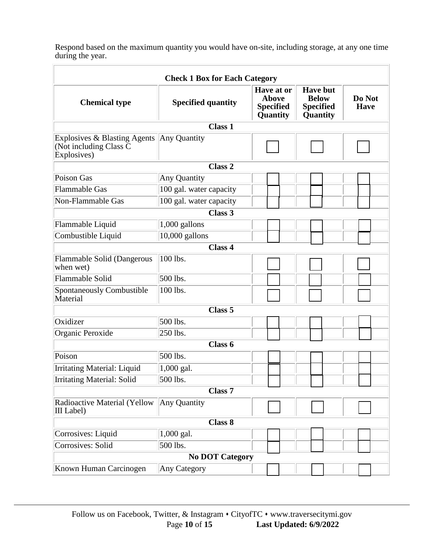Respond based on the maximum quantity you would have on-site, including storage, at any one time during the year.

| <b>Check 1 Box for Each Category</b>                                  |                           |                                                            |                                                                 |                       |
|-----------------------------------------------------------------------|---------------------------|------------------------------------------------------------|-----------------------------------------------------------------|-----------------------|
| <b>Chemical type</b>                                                  | <b>Specified quantity</b> | Have at or<br><b>Above</b><br><b>Specified</b><br>Quantity | <b>Have but</b><br><b>Below</b><br><b>Specified</b><br>Quantity | Do Not<br><b>Have</b> |
|                                                                       | <b>Class 1</b>            |                                                            |                                                                 |                       |
| Explosives & Blasting Agents<br>(Not including Class C<br>Explosives) | Any Quantity              |                                                            |                                                                 |                       |
|                                                                       | Class <sub>2</sub>        |                                                            |                                                                 |                       |
| Poison Gas                                                            | Any Quantity              |                                                            |                                                                 |                       |
| Flammable Gas                                                         | 100 gal. water capacity   |                                                            |                                                                 |                       |
| Non-Flammable Gas                                                     | 100 gal. water capacity   |                                                            |                                                                 |                       |
|                                                                       | Class 3                   |                                                            |                                                                 |                       |
| Flammable Liquid                                                      | 1,000 gallons             |                                                            |                                                                 |                       |
| Combustible Liquid                                                    | $10,000$ gallons          |                                                            |                                                                 |                       |
|                                                                       | <b>Class 4</b>            |                                                            |                                                                 |                       |
| Flammable Solid (Dangerous<br>when wet)                               | 100 lbs.                  |                                                            |                                                                 |                       |
| Flammable Solid                                                       | 500 lbs.                  |                                                            |                                                                 |                       |
| Spontaneously Combustible<br>Material                                 | 100 lbs.                  |                                                            |                                                                 |                       |
|                                                                       | Class <sub>5</sub>        |                                                            |                                                                 |                       |
| Oxidizer                                                              | 500 lbs.                  |                                                            |                                                                 |                       |
| Organic Peroxide                                                      | $250$ lbs.                |                                                            |                                                                 |                       |
|                                                                       | Class 6                   |                                                            |                                                                 |                       |
| Poison                                                                | 500 lbs.                  |                                                            |                                                                 |                       |
| <b>Irritating Material: Liquid</b>                                    | 1,000 gal.                |                                                            |                                                                 |                       |
| <b>Irritating Material: Solid</b>                                     | 500 lbs.                  |                                                            |                                                                 |                       |
| Class <sub>7</sub>                                                    |                           |                                                            |                                                                 |                       |
| Radioactive Material (Yellow<br>III Label)                            | Any Quantity              |                                                            |                                                                 |                       |
| <b>Class 8</b>                                                        |                           |                                                            |                                                                 |                       |
| Corrosives: Liquid                                                    | 1,000 gal.                |                                                            |                                                                 |                       |
| Corrosives: Solid                                                     | 500 lbs.                  |                                                            |                                                                 |                       |
| <b>No DOT Category</b>                                                |                           |                                                            |                                                                 |                       |
| Known Human Carcinogen                                                | Any Category              |                                                            |                                                                 |                       |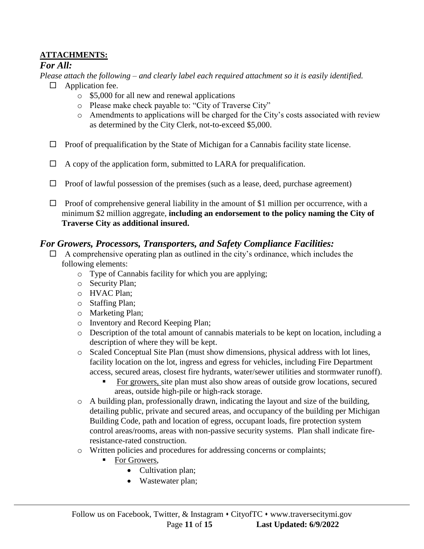# **ATTACHMENTS:**

# *For All:*

- *Please attach the following – and clearly label each required attachment so it is easily identified.*
	- $\Box$  Application fee.
		- o \$5,000 for all new and renewal applications
		- o Please make check payable to: "City of Traverse City"
		- o Amendments to applications will be charged for the City's costs associated with review as determined by the City Clerk, not-to-exceed \$5,000.
	- $\Box$  Proof of prequalification by the State of Michigan for a Cannabis facility state license.
	- $\Box$  A copy of the application form, submitted to LARA for prequalification.
	- $\Box$  Proof of lawful possession of the premises (such as a lease, deed, purchase agreement)
	- $\Box$  Proof of comprehensive general liability in the amount of \$1 million per occurrence, with a minimum \$2 million aggregate, **including an endorsement to the policy naming the City of Traverse City as additional insured.**

# *For Growers, Processors, Transporters, and Safety Compliance Facilities:*

- $\Box$  A comprehensive operating plan as outlined in the city's ordinance, which includes the following elements:
	- o Type of Cannabis facility for which you are applying;
	- o Security Plan;
	- o HVAC Plan;
	- o Staffing Plan;
	- o Marketing Plan;
	- o Inventory and Record Keeping Plan;
	- o Description of the total amount of cannabis materials to be kept on location, including a description of where they will be kept.
	- o Scaled Conceptual Site Plan (must show dimensions, physical address with lot lines, facility location on the lot, ingress and egress for vehicles, including Fire Department access, secured areas, closest fire hydrants, water/sewer utilities and stormwater runoff).
		- For growers, site plan must also show areas of outside grow locations, secured areas, outside high-pile or high-rack storage.
	- $\circ$  A building plan, professionally drawn, indicating the layout and size of the building, detailing public, private and secured areas, and occupancy of the building per Michigan Building Code, path and location of egress, occupant loads, fire protection system control areas/rooms, areas with non-passive security systems. Plan shall indicate fireresistance-rated construction.
	- o Written policies and procedures for addressing concerns or complaints;
		- For Growers,
			- Cultivation plan;
			- Wastewater plan;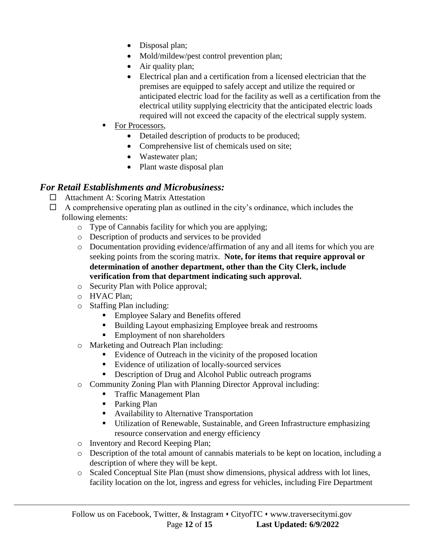- Disposal plan;
- Mold/mildew/pest control prevention plan;
- Air quality plan;
- Electrical plan and a certification from a licensed electrician that the premises are equipped to safely accept and utilize the required or anticipated electric load for the facility as well as a certification from the electrical utility supplying electricity that the anticipated electric loads required will not exceed the capacity of the electrical supply system.
- For Processors,
	- Detailed description of products to be produced;
	- Comprehensive list of chemicals used on site;
	- Wastewater plan;
	- Plant waste disposal plan

# *For Retail Establishments and Microbusiness:*

- □ Attachment A: Scoring Matrix Attestation
- $\Box$  A comprehensive operating plan as outlined in the city's ordinance, which includes the following elements:
	- o Type of Cannabis facility for which you are applying;
	- o Description of products and services to be provided
	- o Documentation providing evidence/affirmation of any and all items for which you are seeking points from the scoring matrix. **Note, for items that require approval or determination of another department, other than the City Clerk, include verification from that department indicating such approval.**
	- o Security Plan with Police approval;
	- o HVAC Plan;
	- o Staffing Plan including:
		- Employee Salary and Benefits offered
		- Building Layout emphasizing Employee break and restrooms
		- **Employment of non shareholders**
	- o Marketing and Outreach Plan including:
		- Evidence of Outreach in the vicinity of the proposed location
		- Evidence of utilization of locally-sourced services
		- Description of Drug and Alcohol Public outreach programs
	- o Community Zoning Plan with Planning Director Approval including:
		- **Traffic Management Plan**
		- **Parking Plan**
		- Availability to Alternative Transportation
		- Utilization of Renewable, Sustainable, and Green Infrastructure emphasizing resource conservation and energy efficiency
	- o Inventory and Record Keeping Plan;
	- o Description of the total amount of cannabis materials to be kept on location, including a description of where they will be kept.
	- o Scaled Conceptual Site Plan (must show dimensions, physical address with lot lines, facility location on the lot, ingress and egress for vehicles, including Fire Department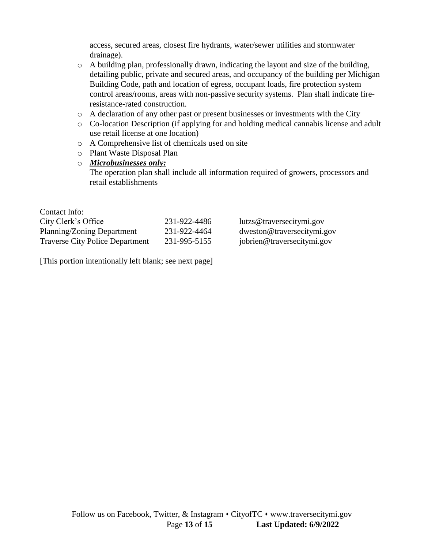access, secured areas, closest fire hydrants, water/sewer utilities and stormwater drainage).

- o A building plan, professionally drawn, indicating the layout and size of the building, detailing public, private and secured areas, and occupancy of the building per Michigan Building Code, path and location of egress, occupant loads, fire protection system control areas/rooms, areas with non-passive security systems. Plan shall indicate fireresistance-rated construction.
- o A declaration of any other past or present businesses or investments with the City
- o Co-location Description (if applying for and holding medical cannabis license and adult use retail license at one location)
- o A Comprehensive list of chemicals used on site
- o Plant Waste Disposal Plan
- o *Microbusinesses only:* The operation plan shall include all information required of growers, processors and retail establishments

| Contact Info:                          |              |                            |
|----------------------------------------|--------------|----------------------------|
| City Clerk's Office                    | 231-922-4486 | lutzs@traversecitymi.gov   |
| Planning/Zoning Department             | 231-922-4464 | dweston@traversecitymi.gov |
| <b>Traverse City Police Department</b> | 231-995-5155 | jobrien@traversecitymi.gov |

[This portion intentionally left blank; see next page]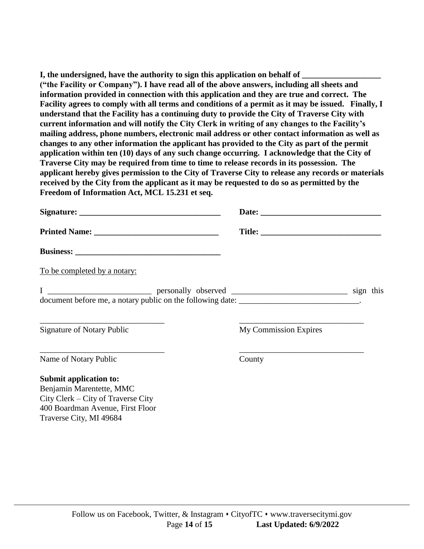**I, the undersigned, have the authority to sign this application on behalf of ("the Facility or Company"). I have read all of the above answers, including all sheets and information provided in connection with this application and they are true and correct. The Facility agrees to comply with all terms and conditions of a permit as it may be issued. Finally, I understand that the Facility has a continuing duty to provide the City of Traverse City with current information and will notify the City Clerk in writing of any changes to the Facility's mailing address, phone numbers, electronic mail address or other contact information as well as changes to any other information the applicant has provided to the City as part of the permit application within ten (10) days of any such change occurring. I acknowledge that the City of Traverse City may be required from time to time to release records in its possession. The applicant hereby gives permission to the City of Traverse City to release any records or materials received by the City from the applicant as it may be requested to do so as permitted by the Freedom of Information Act, MCL 15.231 et seq.**

| To be completed by a notary:                                                                                                                               |                              |
|------------------------------------------------------------------------------------------------------------------------------------------------------------|------------------------------|
|                                                                                                                                                            |                              |
| <u> 1989 - Johann Harry Harry Harry Harry Harry Harry Harry Harry Harry Harry Harry Harry Harry Harry Harry Harry</u><br><b>Signature of Notary Public</b> | <b>My Commission Expires</b> |
| Name of Notary Public                                                                                                                                      | County                       |
| <b>Submit application to:</b>                                                                                                                              |                              |
| Benjamin Marentette, MMC                                                                                                                                   |                              |
| City Clerk – City of Traverse City                                                                                                                         |                              |
| 400 Boardman Avenue, First Floor                                                                                                                           |                              |

Follow us on Facebook, Twitter, & Instagram • CityofTC • www.traversecitymi.gov Page **14** of **15 Last Updated: 6/9/2022**

Traverse City, MI 49684